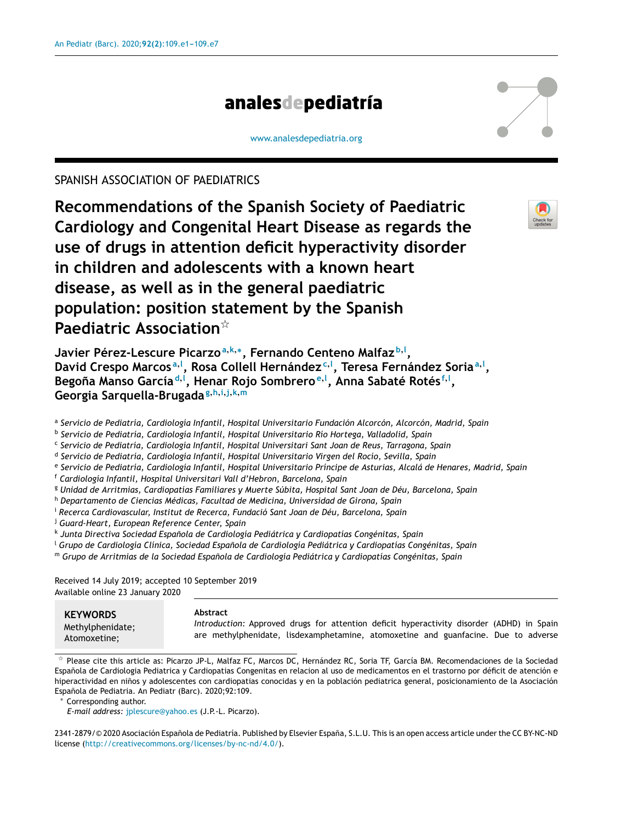# analesdepediatría

[www.analesdepediatria.org](http://www.analesdepediatria.org)

# SPANISH ASSOCIATION OF PAEDIATRICS

**Recommendations of the Spanish Society of Paediatric Cardiology and Congenital Heart Disease as regards the use of drugs in attention deficit hyperactivity disorder in children and adolescents with a known heart disease, as well as in the general paediatric population: position statement by the Spanish Paediatric Association**-

**Javier Pérez-Lescure Picarzo<sup>a</sup>**,**k**,<sup>∗</sup> **, Fernando Centeno Malfaz <sup>b</sup>**,**<sup>l</sup> , David Crespo Marcos <sup>a</sup>**,**<sup>l</sup> , Rosa Collell Hernández<sup>c</sup>**,**<sup>l</sup> , Teresa Fernández Soria<sup>a</sup>**,**<sup>l</sup> , Begona˜ Manso García <sup>d</sup>**,**<sup>l</sup> , Henar Rojo Sombrero <sup>e</sup>**,**<sup>l</sup> , Anna Sabaté Rotés <sup>f</sup>**,**<sup>l</sup> , Georgia Sarquella-Brugada<sup>g</sup>**,**h**,**i**,**j**,**k**,**<sup>m</sup>**

a *Servicio de Pediatría, Cardiología Infantil, Hospital Universitario Fundación Alcorcón, Alcorcón, Madrid, Spain*

b *Servicio de Pediatría, Cardiología Infantil, Hospital Universitario Río Hortega, Valladolid, Spain*

c *Servicio de Pediatría, Cardiología Infantil, Hospital Universitari Sant Joan de Reus, Tarragona, Spain*

d *Servicio de Pediatría, Cardiología Infantil, Hospital Universitario Virgen del Rocío, Sevilla, Spain*

<sup>e</sup> Servicio de Pediatría, Cardiología Infantil, Hospital Universitario Príncipe de Asturias, Alcalá de Henares, Madrid, Spain

<sup>f</sup> *Cardiología Infantil, Hospital Universitari Vall d'Hebron, Barcelona, Spain*

<sup>g</sup> *Unidad de Arritmias, Cardiopatías Familiares y Muerte Súbita, Hospital Sant Joan de Déu, Barcelona, Spain*

<sup>h</sup> *Departamento de Ciencias Médicas, Facultad de Medicina, Universidad de Girona, Spain*

<sup>i</sup> *Recerca Cardiovascular, Institut de Recerca, Fundació Sant Joan de Déu, Barcelona, Spain*

<sup>j</sup> *Guard-Heart, European Reference Center, Spain*

k *Junta Directiva Sociedad Espanola ˜ de Cardiología Pediátrica y Cardiopatías Congénitas, Spain*

<sup>l</sup> *Grupo de Cardiología Clínica, Sociedad Espanola ˜ de Cardiología Pediátrica y Cardiopatías Congénitas, Spain*

<sup>m</sup> *Grupo de Arritmias de la Sociedad Espanola ˜ de Cardiología Pediátrica y Cardiopatías Congénitas, Spain*

Received 14 July 2019; accepted 10 September 2019 Available online 23 January 2020

| <b>KEYWORDS</b>  | Abstract                                                                                  |
|------------------|-------------------------------------------------------------------------------------------|
| Methylphenidate; | Introduction: Approved drugs for attention deficit hyperactivity disorder (ADHD) in Spain |
| Atomoxetine:     | are methylphenidate, lisdexamphetamine, atomoxetine and guanfacine. Due to adverse        |

 $\frac{1}{24}$  Please cite this article as: Picarzo JP-L, Malfaz FC, Marcos DC, Hernández RC, Soria TF, García BM. Recomendaciones de la Sociedad Española de Cardiologia Pediatrica y Cardiopatias Congenitas en relacion al uso de medicamentos en el trastorno por déficit de atención e hiperactividad en niños y adolescentes con cardiopatias conocidas y en la población pediatrica general, posicionamiento de la Asociación Española de Pediatria. An Pediatr (Barc). 2020;92:109.

Corresponding author.

*E-mail address:* [jplescure@yahoo.es](mailto:jplescure@yahoo.es) (J.P.-L. Picarzo).

2341-2879/© 2020 Asociación Española de Pediatría. Published by Elsevier España, S.L.U. This is an open access article under the CC BY-NC-ND license (<http://creativecommons.org/licenses/by-nc-nd/4.0/>).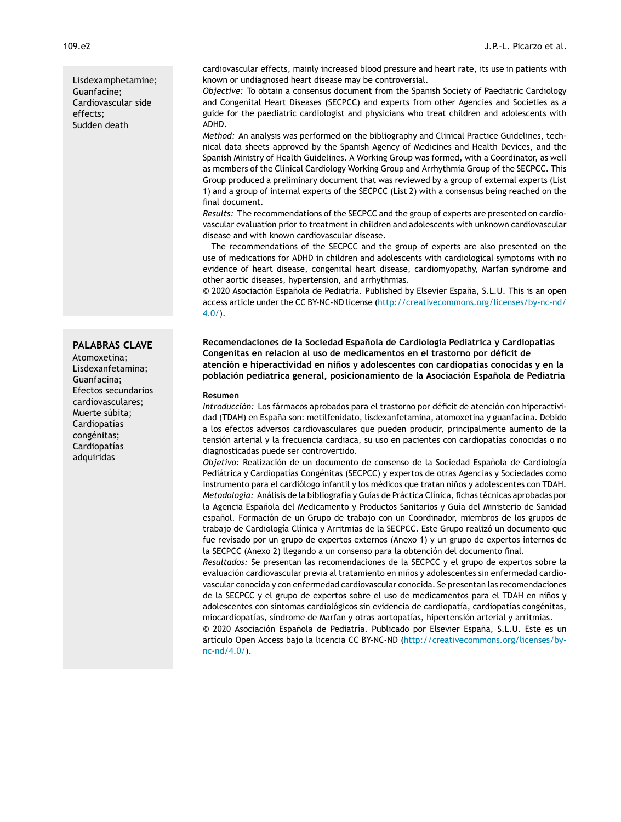Lisdexamphetamine; Guanfacine; Cardiovascular side effects; Sudden death

#### **PALABRAS** CLAVE

Atomoxetina; Lisdexanfetamina; Guanfacina; Efectos secundarios cardiovasculares; Muerte súbita; Cardiopatías congénitas; Cardiopatías adquiridas

cardiovascular effects, mainly increased blood pressure and heart rate, its use in patients with known or undiagnosed heart disease may be controversial.

*Objective:* To obtain a consensus document from the Spanish Society of Paediatric Cardiology and Congenital Heart Diseases (SECPCC) and experts from other Agencies and Societies as a guide for the paediatric cardiologist and physicians who treat children and adolescents with ADHD.

*Method:* An analysis was performed on the bibliography and Clinical Practice Guidelines, technical data sheets approved by the Spanish Agency of Medicines and Health Devices, and the Spanish Ministry of Health Guidelines. A Working Group was formed, with a Coordinator, as well as members of the Clinical Cardiology Working Group and Arrhythmia Group of the SECPCC. This Group produced a preliminary document that was reviewed by a group of external experts (List 1) and a group of internal experts of the SECPCC (List 2) with a consensus being reached on the final document.

*Results:* The recommendations of the SECPCC and the group of experts are presented on cardiovascular evaluation prior to treatment in children and adolescents with unknown cardiovascular disease and with known cardiovascular disease.

The recommendations of the SECPCC and the group of experts are also presented on the use of medications for ADHD in children and adolescents with cardiological symptoms with no evidence of heart disease, congenital heart disease, cardiomyopathy, Marfan syndrome and other aortic diseases, hypertension, and arrhythmias.

© 2020 Asociación Española de Pediatría. Published by Elsevier España, S.L.U. This is an open access article under the CC BY-NC-ND license [\(http://creativecommons.org/licenses/by-nc-nd/](http://creativecommons.org/licenses/by-nc-nd/4.0/) [4.0/\)](http://creativecommons.org/licenses/by-nc-nd/4.0/).

**Recomendaciones de la Sociedad Espanola ˜ de Cardiologia Pediatrica y Cardiopatias Congenitas en relacion al uso de medicamentos en el trastorno por déficit de atención e hiperactividad en ninos ˜ y adolescentes con cardiopatias conocidas y en la población pediatrica general, posicionamiento de la Asociación Espanola ˜ de Pediatria**

#### **Resumen**

*Introducción:* Los fármacos aprobados para el trastorno por déficit de atención con hiperactividad (TDAH) en España son: metilfenidato, lisdexanfetamina, atomoxetina y guanfacina. Debido a los efectos adversos cardiovasculares que pueden producir, principalmente aumento de la tensión arterial y la frecuencia cardiaca, su uso en pacientes con cardiopatías conocidas o no diagnosticadas puede ser controvertido.

*Objetivo:* Realización de un documento de consenso de la Sociedad Española de Cardiología Pediátrica y Cardiopatías Congénitas (SECPCC) y expertos de otras Agencias y Sociedades como instrumento para el cardiólogo infantil y los médicos que tratan niños y adolescentes con TDAH. *Metodología:* Análisis de la bibliografía y Guías de Práctica Clínica, fichas técnicas aprobadas por la Agencia Española del Medicamento y Productos Sanitarios y Guía del Ministerio de Sanidad español. Formación de un Grupo de trabajo con un Coordinador, miembros de los grupos de trabajo de Cardiología Clínica y Arritmias de la SECPCC. Este Grupo realizó un documento que fue revisado por un grupo de expertos externos (Anexo 1) y un grupo de expertos internos de la SECPCC (Anexo 2) llegando a un consenso para la obtención del documento final.

*Resultados:* Se presentan las recomendaciones de la SECPCC y el grupo de expertos sobre la evaluación cardiovascular previa al tratamiento en niños y adolescentes sin enfermedad cardiovascular conocida y con enfermedad cardiovascular conocida. Se presentan las recomendaciones de la SECPCC y el grupo de expertos sobre el uso de medicamentos para el TDAH en niños y adolescentes con síntomas cardiológicos sin evidencia de cardiopatía, cardiopatías congénitas, miocardiopatías, síndrome de Marfan y otras aortopatías, hipertensión arterial y arritmias.

 $© 2020 Asociación Española de Pediatría. Publicado por Elsevier España, S.L.U. Este es un$ artículo Open Access bajo la licencia CC BY-NC-ND ([http://creativecommons.org/licenses/by](http://creativecommons.org/licenses/by-nc-nd/4.0/)[nc-nd/4.0/\)](http://creativecommons.org/licenses/by-nc-nd/4.0/).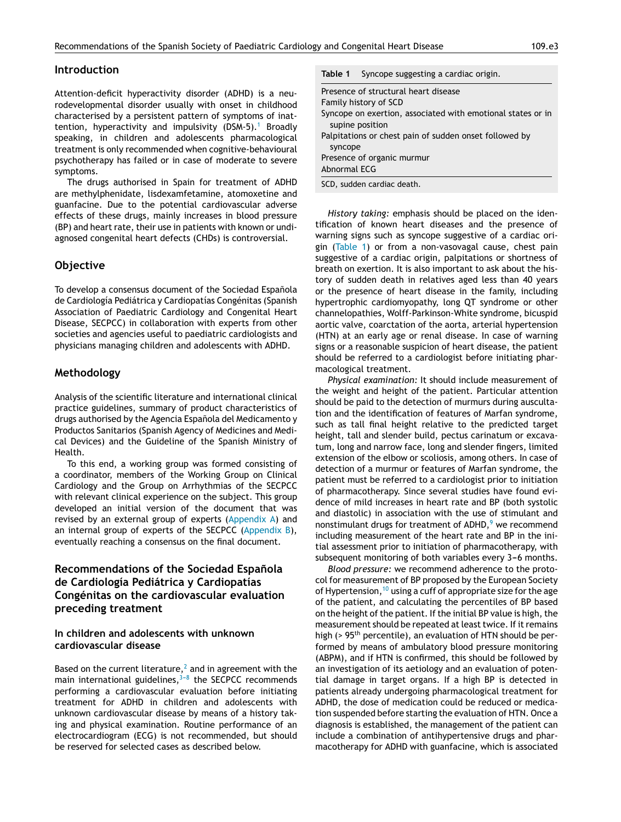#### **Introduction**

Attention-deficit hyperactivity disorder (ADHD) is a neurodevelopmental disorder usually with onset in childhood characterised by a persistent pattern of symptoms of inat-tention, hyperactivity and impulsivity (DSM-5).<sup>[1](#page-6-0)</sup> Broadly speaking, in children and adolescents pharmacological treatment is only recommended when cognitive-behavioural psychotherapy has failed or in case of moderate to severe symptoms.

The drugs authorised in Spain for treatment of ADHD are methylphenidate, lisdexamfetamine, atomoxetine and guanfacine. Due to the potential cardiovascular adverse effects of these drugs, mainly increases in blood pressure (BP) and heart rate, their use in patients with known or undiagnosed congenital heart defects (CHDs) is controversial.

#### **Objective**

To develop a consensus document of the Sociedad Española de Cardiología Pediátrica y Cardiopatías Congénitas (Spanish Association of Paediatric Cardiology and Congenital Heart Disease, SECPCC) in collaboration with experts from other societies and agencies useful to paediatric cardiologists and physicians managing children and adolescents with ADHD.

## **Methodology**

Analysis of the scientific literature and international clinical practice guidelines, summary of product characteristics of drugs authorised by the Agencia Española del Medicamento y Productos Sanitarios (Spanish Agency of Medicines and Medical Devices) and the Guideline of the Spanish Ministry of Health.

To this end, a working group was formed consisting of a coordinator, members of the Working Group on Clinical Cardiology and the Group on Arrhythmias of the SECPCC with relevant clinical experience on the subject. This group developed an initial version of the document that was revised by an external group of experts ([Appendix](#page-5-0) [A\)](#page-5-0) and an internal group of experts of the SECPCC [\(Appendix](#page-6-0) [B\),](#page-6-0) eventually reaching a consensus on the final document.

# **Recommendations of the Sociedad Española de Cardiología Pediátrica y Cardiopatías Congénitas on the cardiovascular evaluation preceding treatment**

#### **In children and adolescents with unknown cardiovascular disease**

Based on the current literature, $^2$  $^2$  and in agreement with the main international guidelines,  $3-8$  the SECPCC recommends performing a cardiovascular evaluation before initiating treatment for ADHD in children and adolescents with unknown cardiovascular disease by means of a history taking and physical examination. Routine performance of an electrocardiogram (ECG) is not recommended, but should be reserved for selected cases as described below.

| Table 1                                                                        | Syncope suggesting a cardiac origin.                              |  |
|--------------------------------------------------------------------------------|-------------------------------------------------------------------|--|
| Presence of structural heart disease                                           |                                                                   |  |
|                                                                                | Family history of SCD                                             |  |
| Syncope on exertion, associated with emotional states or in<br>supine position |                                                                   |  |
|                                                                                | Palpitations or chest pain of sudden onset followed by<br>syncope |  |
| Presence of organic murmur                                                     |                                                                   |  |
| Abnormal ECG                                                                   |                                                                   |  |
|                                                                                | SCD, sudden cardiac death.                                        |  |

*History taking:* emphasis should be placed on the identification of known heart diseases and the presence of warning signs such as syncope suggestive of a cardiac origin (Table 1) or from a non-vasovagal cause, chest pain suggestive of a cardiac origin, palpitations or shortness of breath on exertion. It is also important to ask about the history of sudden death in relatives aged less than 40 years or the presence of heart disease in the family, including hypertrophic cardiomyopathy, long QT syndrome or other channelopathies, Wolff-Parkinson-White syndrome, bicuspid aortic valve, coarctation of the aorta, arterial hypertension (HTN) at an early age or renal disease. In case of warning signs or a reasonable suspicion of heart disease, the patient should be referred to a cardiologist before initiating pharmacological treatment.

*Physical examination:* It should include measurement of the weight and height of the patient. Particular attention should be paid to the detection of murmurs during auscultation and the identification of features of Marfan syndrome, such as tall final height relative to the predicted target height, tall and slender build, pectus carinatum or excavatum, long and narrow face, long and slender fingers, limited extension of the elbow or scoliosis, among others. In case of detection of a murmur or features of Marfan syndrome, the patient must be referred to a cardiologist prior to initiation of pharmacotherapy. Since several studies have found evidence of mild increases in heart rate and BP (both systolic and diastolic) in association with the use of stimulant and nonstimulant drugs for treatment of  $ADHD$ ,<sup>9</sup> [w](#page-6-0)e recommend including measurement of the heart rate and BP in the initial assessment prior to initiation of pharmacotherapy, with subsequent monitoring of both variables every 3-6 months.

*Blood pressure:* we recommend adherence to the protocol for measurement of BP proposed by the European Society of Hypertension,  $10$  using a cuff of appropriate size for the age of the patient, and calculating the percentiles of BP based on the height of the patient. If the initial BP value is high, the measurement should be repeated at least twice. If it remains high (> 95<sup>th</sup> percentile), an evaluation of HTN should be performed by means of ambulatory blood pressure monitoring (ABPM), and if HTN is confirmed, this should be followed by an investigation of its aetiology and an evaluation of potential damage in target organs. If a high BP is detected in patients already undergoing pharmacological treatment for ADHD, the dose of medication could be reduced or medication suspended before starting the evaluation of HTN. Once a diagnosis is established, the management of the patient can include a combination of antihypertensive drugs and pharmacotherapy for ADHD with guanfacine, which is associated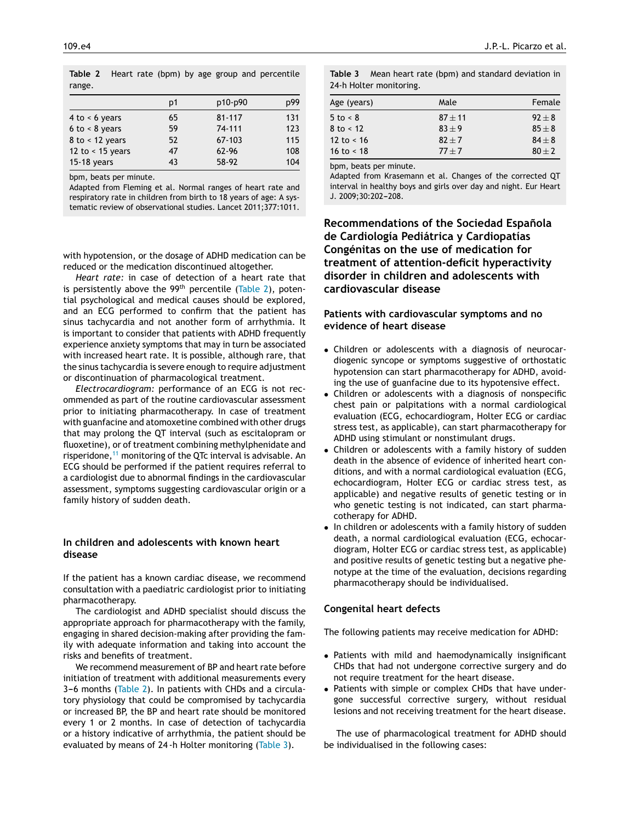**Table 2** Heart rate (bpm) by age group and percentile range.

|                    | p1 | p10-p90    | p99 |
|--------------------|----|------------|-----|
| 4 to $<$ 6 years   | 65 | $81 - 117$ | 131 |
| $6$ to < 8 years   | 59 | 74-111     | 123 |
| 8 to $<$ 12 years  | 52 | 67-103     | 115 |
| 12 to $<$ 15 years | 47 | $62 - 96$  | 108 |
| 15-18 years        | 43 | 58-92      | 104 |

bpm, beats per minute.

Adapted from Fleming et al. Normal ranges of heart rate and respiratory rate in children from birth to 18 years of age: A systematic review of observational studies. Lancet 2011;377:1011.

with hypotension, or the dosage of ADHD medication can be reduced or the medication discontinued altogether.

*Heart rate:* in case of detection of a heart rate that is persistently above the  $99<sup>th</sup>$  percentile (Table 2), potential psychological and medical causes should be explored, and an ECG performed to confirm that the patient has sinus tachycardia and not another form of arrhythmia. It is important to consider that patients with ADHD frequently experience anxiety symptoms that may in turn be associated with increased heart rate. It is possible, although rare, that the sinus tachycardia is severe enough to require adjustment or discontinuation of pharmacological treatment.

*Electrocardiogram:* performance of an ECG is not recommended as part of the routine cardiovascular assessment prior to initiating pharmacotherapy. In case of treatment with guanfacine and atomoxetine combined with other drugs that may prolong the QT interval (such as escitalopram or fluoxetine), or of treatment combining methylphenidate and risperidone,<sup>[11](#page-6-0)</sup> monitoring of the QTc interval is advisable. An ECG should be performed if the patient requires referral to a cardiologist due to abnormal findings in the cardiovascular assessment, symptoms suggesting cardiovascular origin or a family history of sudden death.

#### **In children and adolescents with known heart disease**

If the patient has a known cardiac disease, we recommend consultation with a paediatric cardiologist prior to initiating pharmacotherapy.

The cardiologist and ADHD specialist should discuss the appropriate approach for pharmacotherapy with the family, engaging in shared decision-making after providing the family with adequate information and taking into account the risks and benefits of treatment.

We recommend measurement of BP and heart rate before initiation of treatment with additional measurements every 3-6 months (Table 2). In patients with CHDs and a circulatory physiology that could be compromised by tachycardia or increased BP, the BP and heart rate should be monitored every 1 or 2 months. In case of detection of tachycardia or a history indicative of arrhythmia, the patient should be evaluated by means of 24 -h Holter monitoring (Table 3).

**Table 3** Mean heart rate (bpm) and standard deviation in 24-h Holter monitoring.

| Age (years)  | Male      | Female   |
|--------------|-----------|----------|
| 5 to $\lt 8$ | $87 + 11$ | $92 + 8$ |
| $8$ to < 12  | $83 + 9$  | $85 + 8$ |
| 12 to $< 16$ | $82 + 7$  | $84 + 8$ |
| 16 to $<$ 18 | $77 + 7$  | $80 + 2$ |
|              |           |          |

bpm, beats per minute.

Adapted from Krasemann et al. Changes of the corrected QT interval in healthy boys and girls over day and night. Eur Heart J. 2009;30:202-208.

**Recommendations of the Sociedad Española de Cardiología Pediátrica y Cardiopatías Congénitas on the use of medication for treatment of attention-deficit hyperactivity disorder in children and adolescents with cardiovascular disease**

**Patients with cardiovascular symptoms and no evidence of heart disease**

- Children or adolescents with a diagnosis of neurocardiogenic syncope or symptoms suggestive of orthostatic hypotension can start pharmacotherapy for ADHD, avoiding the use of guanfacine due to its hypotensive effect.
- Children or adolescents with a diagnosis of nonspecific chest pain or palpitations with a normal cardiological evaluation (ECG, echocardiogram, Holter ECG or cardiac stress test, as applicable), can start pharmacotherapy for ADHD using stimulant or nonstimulant drugs.
- Children or adolescents with a family history of sudden death in the absence of evidence of inherited heart conditions, and with a normal cardiological evaluation (ECG, echocardiogram, Holter ECG or cardiac stress test, as applicable) and negative results of genetic testing or in who genetic testing is not indicated, can start pharmacotherapy for ADHD.
- In children or adolescents with a family history of sudden death, a normal cardiological evaluation (ECG, echocardiogram, Holter ECG or cardiac stress test, as applicable) and positive results of genetic testing but a negative phenotype at the time of the evaluation, decisions regarding pharmacotherapy should be individualised.

#### **Congenital heart defects**

The following patients may receive medication for ADHD:

- Patients with mild and haemodynamically insignificant CHDs that had not undergone corrective surgery and do not require treatment for the heart disease.
- Patients with simple or complex CHDs that have undergone successful corrective surgery, without residual lesions and not receiving treatment for the heart disease.

The use of pharmacological treatment for ADHD should be individualised in the following cases: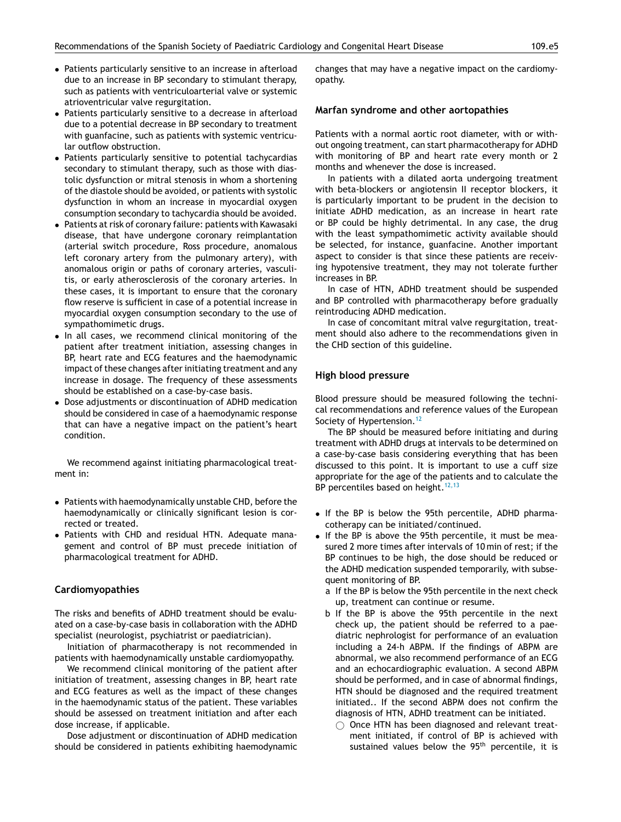- Patients particularly sensitive to an increase in afterload due to an increase in BP secondary to stimulant therapy, such as patients with ventriculoarterial valve or systemic atrioventricular valve regurgitation.
- Patients particularly sensitive to a decrease in afterload due to a potential decrease in BP secondary to treatment with guanfacine, such as patients with systemic ventricular outflow obstruction.
- Patients particularly sensitive to potential tachycardias secondary to stimulant therapy, such as those with diastolic dysfunction or mitral stenosis in whom a shortening of the diastole should be avoided, or patients with systolic dysfunction in whom an increase in myocardial oxygen consumption secondary to tachycardia should be avoided.
- Patients at risk of coronary failure: patients with Kawasaki disease, that have undergone coronary reimplantation (arterial switch procedure, Ross procedure, anomalous left coronary artery from the pulmonary artery), with anomalous origin or paths of coronary arteries, vasculitis, or early atherosclerosis of the coronary arteries. In these cases, it is important to ensure that the coronary flow reserve is sufficient in case of a potential increase in myocardial oxygen consumption secondary to the use of sympathomimetic drugs.
- In all cases, we recommend clinical monitoring of the patient after treatment initiation, assessing changes in BP, heart rate and ECG features and the haemodynamic impact of these changes after initiating treatment and any increase in dosage. The frequency of these assessments should be established on a case-by-case basis.
- Dose adjustments or discontinuation of ADHD medication should be considered in case of a haemodynamic response that can have a negative impact on the patient's heart condition.

We recommend against initiating pharmacological treatment in:

- Patients with haemodynamically unstable CHD, before the haemodynamically or clinically significant lesion is corrected or treated.
- Patients with CHD and residual HTN. Adequate management and control of BP must precede initiation of pharmacological treatment for ADHD.

#### **Cardiomyopathies**

The risks and benefits of ADHD treatment should be evaluated on a case-by-case basis in collaboration with the ADHD specialist (neurologist, psychiatrist or paediatrician).

Initiation of pharmacotherapy is not recommended in patients with haemodynamically unstable cardiomyopathy.

We recommend clinical monitoring of the patient after initiation of treatment, assessing changes in BP, heart rate and ECG features as well as the impact of these changes in the haemodynamic status of the patient. These variables should be assessed on treatment initiation and after each dose increase, if applicable.

Dose adjustment or discontinuation of ADHD medication should be considered in patients exhibiting haemodynamic

changes that may have a negative impact on the cardiomyopathy.

#### **Marfan syndrome and other aortopathies**

Patients with a normal aortic root diameter, with or without ongoing treatment, can start pharmacotherapy for ADHD with monitoring of BP and heart rate every month or 2 months and whenever the dose is increased.

In patients with a dilated aorta undergoing treatment with beta-blockers or angiotensin II receptor blockers, it is particularly important to be prudent in the decision to initiate ADHD medication, as an increase in heart rate or BP could be highly detrimental. In any case, the drug with the least sympathomimetic activity available should be selected, for instance, guanfacine. Another important aspect to consider is that since these patients are receiving hypotensive treatment, they may not tolerate further increases in BP.

In case of HTN, ADHD treatment should be suspended and BP controlled with pharmacotherapy before gradually reintroducing ADHD medication.

In case of concomitant mitral valve regurgitation, treatment should also adhere to the recommendations given in the CHD section of this guideline.

#### **High blood pressure**

Blood pressure should be measured following the technical recommendations and reference values of the European Society of Hypertension.<sup>[12](#page-6-0)</sup>

The BP should be measured before initiating and during treatment with ADHD drugs at intervals to be determined on a case-by-case basis considering everything that has been discussed to this point. It is important to use a cuff size appropriate for the age of the patients and to calculate the BP percentiles based on height. $12,13$ 

- If the BP is below the 95th percentile, ADHD pharmacotherapy can be initiated/continued.
- If the BP is above the 95th percentile, it must be measured 2 more times after intervals of 10 min of rest; if the BP continues to be high, the dose should be reduced or the ADHD medication suspended temporarily, with subsequent monitoring of BP.
	- a If the BP is below the 95th percentile in the next check up, treatment can continue or resume.
	- b If the BP is above the 95th percentile in the next check up, the patient should be referred to a paediatric nephrologist for performance of an evaluation including a 24-h ABPM. If the findings of ABPM are abnormal, we also recommend performance of an ECG and an echocardiographic evaluation. A second ABPM should be performed, and in case of abnormal findings, HTN should be diagnosed and the required treatment initiated.. If the second ABPM does not confirm the diagnosis of HTN, ADHD treatment can be initiated.
		- $\bigcirc$  Once HTN has been diagnosed and relevant treatment initiated, if control of BP is achieved with sustained values below the 95<sup>th</sup> percentile, it is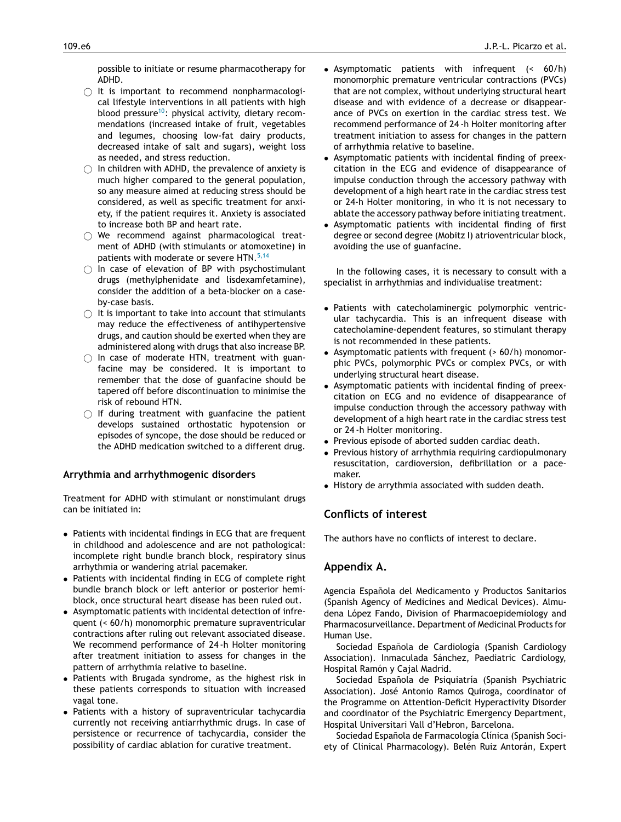<span id="page-5-0"></span>possible to initiate or resume pharmacotherapy for ADHD.

- $\bigcap$  It is important to recommend nonpharmacological lifestyle interventions in all patients with high blood pressure<sup>[10](#page-6-0)</sup>: physical activity, dietary recommendations (increased intake of fruit, vegetables and legumes, choosing low-fat dairy products, decreased intake of salt and sugars), weight loss as needed, and stress reduction.
- $\bigcirc$  In children with ADHD, the prevalence of anxiety is much higher compared to the general population, so any measure aimed at reducing stress should be considered, as well as specific treatment for anxiety, if the patient requires it. Anxiety is associated to increase both BP and heart rate.
- We recommend against pharmacological treatment of ADHD (with stimulants or atomoxetine) in patients with moderate or severe HTN.<sup>[5,14](#page-6-0)</sup>
- $\bigcap$  In case of elevation of BP with psychostimulant drugs (methylphenidate and lisdexamfetamine), consider the addition of a beta-blocker on a caseby-case basis.
- $\bigcap$  It is important to take into account that stimulants may reduce the effectiveness of antihypertensive drugs, and caution should be exerted when they are administered along with drugs that also increase BP.
- $\bigcap$  In case of moderate HTN, treatment with guanfacine may be considered. It is important to remember that the dose of guanfacine should be tapered off before discontinuation to minimise the risk of rebound HTN.
- $\bigcirc$  If during treatment with guanfacine the patient develops sustained orthostatic hypotension or episodes of syncope, the dose should be reduced or the ADHD medication switched to a different drug.

#### **Arrythmia and arrhythmogenic disorders**

Treatment for ADHD with stimulant or nonstimulant drugs can be initiated in:

- Patients with incidental findings in ECG that are frequent in childhood and adolescence and are not pathological: incomplete right bundle branch block, respiratory sinus arrhythmia or wandering atrial pacemaker.
- Patients with incidental finding in ECG of complete right bundle branch block or left anterior or posterior hemiblock, once structural heart disease has been ruled out.
- Asymptomatic patients with incidental detection of infrequent (< 60/h) monomorphic premature supraventricular contractions after ruling out relevant associated disease. We recommend performance of 24 -h Holter monitoring after treatment initiation to assess for changes in the pattern of arrhythmia relative to baseline.
- Patients with Brugada syndrome, as the highest risk in these patients corresponds to situation with increased vagal tone.
- Patients with a history of supraventricular tachycardia currently not receiving antiarrhythmic drugs. In case of persistence or recurrence of tachycardia, consider the possibility of cardiac ablation for curative treatment.
- Asymptomatic patients with infrequent (< 60/h) monomorphic premature ventricular contractions (PVCs) that are not complex, without underlying structural heart disease and with evidence of a decrease or disappearance of PVCs on exertion in the cardiac stress test. We recommend performance of 24 -h Holter monitoring after treatment initiation to assess for changes in the pattern of arrhythmia relative to baseline.
- Asymptomatic patients with incidental finding of preexcitation in the ECG and evidence of disappearance of impulse conduction through the accessory pathway with development of a high heart rate in the cardiac stress test or 24-h Holter monitoring, in who it is not necessary to ablate the accessory pathway before initiating treatment.
- Asymptomatic patients with incidental finding of first degree or second degree (Mobitz I) atrioventricular block, avoiding the use of guanfacine.

In the following cases, it is necessary to consult with a specialist in arrhythmias and individualise treatment:

- Patients with catecholaminergic polymorphic ventricular tachycardia. This is an infrequent disease with catecholamine-dependent features, so stimulant therapy is not recommended in these patients.
- Asymptomatic patients with frequent (> 60/h) monomorphic PVCs, polymorphic PVCs or complex PVCs, or with underlying structural heart disease.
- Asymptomatic patients with incidental finding of preexcitation on ECG and no evidence of disappearance of impulse conduction through the accessory pathway with development of a high heart rate in the cardiac stress test or 24 -h Holter monitoring.
- Previous episode of aborted sudden cardiac death.
- Previous history of arrhythmia requiring cardiopulmonary resuscitation, cardioversion, defibrillation or a pacemaker.
- History de arrythmia associated with sudden death.

# **Conflicts of interest**

The authors have no conflicts of interest to declare.

## **Appendix A.**

Agencia Española del Medicamento y Productos Sanitarios (Spanish Agency of Medicines and Medical Devices). Almudena López Fando, Division of Pharmacoepidemiology and Pharmacosurveillance. Department of Medicinal Products for Human Use.

Sociedad Española de Cardiología (Spanish Cardiology Association). Inmaculada Sánchez, Paediatric Cardiology, Hospital Ramón y Cajal Madrid.

Sociedad Española de Psiquiatría (Spanish Psychiatric Association). José Antonio Ramos Quiroga, coordinator of the Programme on Attention-Deficit Hyperactivity Disorder and coordinator of the Psychiatric Emergency Department, Hospital Universitari Vall d'Hebron, Barcelona.

Sociedad Española de Farmacología Clínica (Spanish Society of Clinical Pharmacology). Belén Ruiz Antorán, Expert